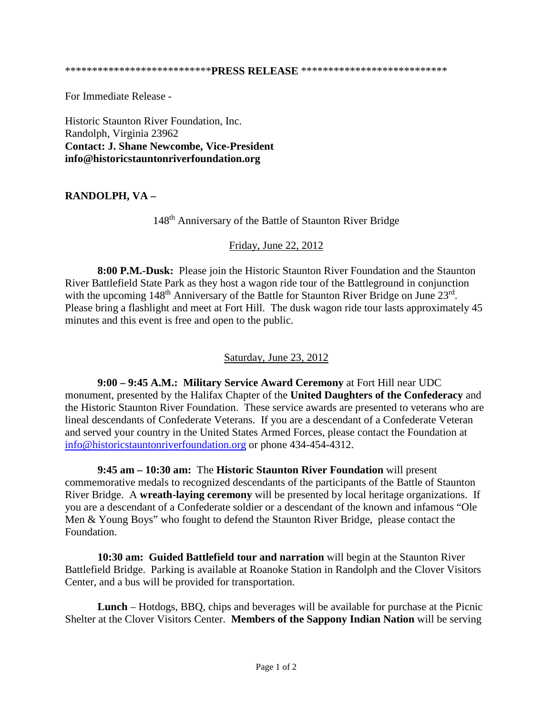For Immediate Release -

Historic Staunton River Foundation, Inc. Randolph, Virginia 23962 **Contact: J. Shane Newcombe, Vice-President info@historicstauntonriverfoundation.org**

## **RANDOLPH, VA –**

148th Anniversary of the Battle of Staunton River Bridge

## Friday, June 22, 2012

**8:00 P.M.-Dusk:** Please join the Historic Staunton River Foundation and the Staunton River Battlefield State Park as they host a wagon ride tour of the Battleground in conjunction with the upcoming 148<sup>th</sup> Anniversary of the Battle for Staunton River Bridge on June 23<sup>rd</sup>. Please bring a flashlight and meet at Fort Hill. The dusk wagon ride tour lasts approximately 45 minutes and this event is free and open to the public.

## Saturday, June 23, 2012

**9:00 – 9:45 A.M.: Military Service Award Ceremony** at Fort Hill near UDC monument, presented by the Halifax Chapter of the **United Daughters of the Confederacy** and the Historic Staunton River Foundation. These service awards are presented to veterans who are lineal descendants of Confederate Veterans. If you are a descendant of a Confederate Veteran and served your country in the United States Armed Forces, please contact the Foundation at [info@historicstauntonriverfoundation.org](mailto:info@historicstauntonriverfoundation.org) or phone 434-454-4312.

**9:45 am – 10:30 am:** The **Historic Staunton River Foundation** will present commemorative medals to recognized descendants of the participants of the Battle of Staunton River Bridge. A **wreath-laying ceremony** will be presented by local heritage organizations. If you are a descendant of a Confederate soldier or a descendant of the known and infamous "Ole Men & Young Boys" who fought to defend the Staunton River Bridge, please contact the Foundation.

**10:30 am: Guided Battlefield tour and narration** will begin at the Staunton River Battlefield Bridge. Parking is available at Roanoke Station in Randolph and the Clover Visitors Center, and a bus will be provided for transportation.

**Lunch** – Hotdogs, BBQ, chips and beverages will be available for purchase at the Picnic Shelter at the Clover Visitors Center. **Members of the Sappony Indian Nation** will be serving